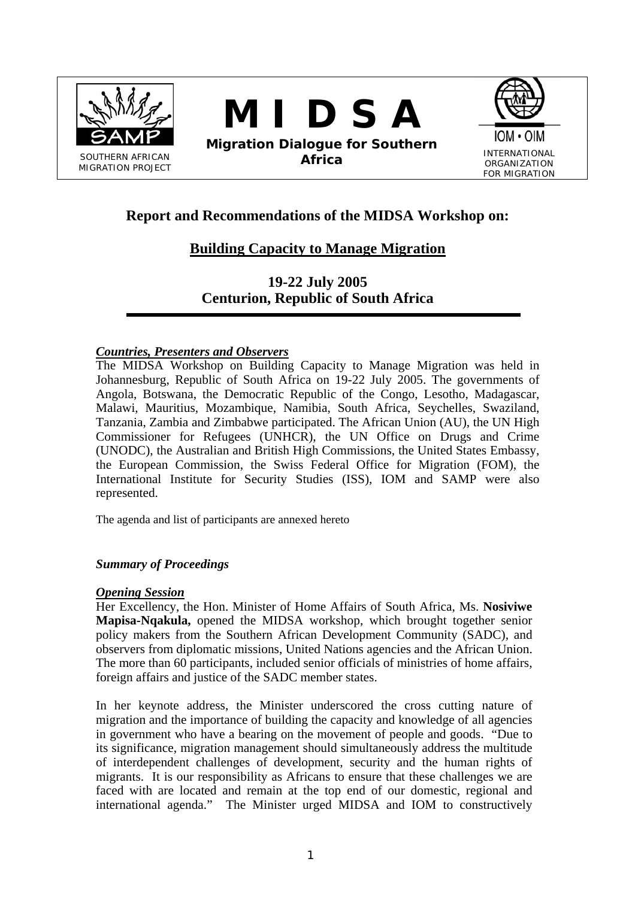

**M I D S A** 

**Migration Dialogue for Southern Africa** INTERNATIONAL



# **Report and Recommendations of the MIDSA Workshop on:**

# **Building Capacity to Manage Migration**

**19-22 July 2005 Centurion, Republic of South Africa** 

### *Countries, Presenters and Observers*

The MIDSA Workshop on Building Capacity to Manage Migration was held in Johannesburg, Republic of South Africa on 19-22 July 2005. The governments of Angola, Botswana, the Democratic Republic of the Congo, Lesotho, Madagascar, Malawi, Mauritius, Mozambique, Namibia, South Africa, Seychelles, Swaziland, Tanzania, Zambia and Zimbabwe participated. The African Union (AU), the UN High Commissioner for Refugees (UNHCR), the UN Office on Drugs and Crime (UNODC), the Australian and British High Commissions, the United States Embassy, the European Commission, the Swiss Federal Office for Migration (FOM), the International Institute for Security Studies (ISS), IOM and SAMP were also represented.

The agenda and list of participants are annexed hereto

### *Summary of Proceedings*

### *Opening Session*

Her Excellency, the Hon. Minister of Home Affairs of South Africa, Ms. **Nosiviwe Mapisa-Nqakula,** opened the MIDSA workshop, which brought together senior policy makers from the Southern African Development Community (SADC), and observers from diplomatic missions, United Nations agencies and the African Union. The more than 60 participants, included senior officials of ministries of home affairs, foreign affairs and justice of the SADC member states.

In her keynote address, the Minister underscored the cross cutting nature of migration and the importance of building the capacity and knowledge of all agencies in government who have a bearing on the movement of people and goods. "Due to its significance, migration management should simultaneously address the multitude of interdependent challenges of development, security and the human rights of migrants. It is our responsibility as Africans to ensure that these challenges we are faced with are located and remain at the top end of our domestic, regional and international agenda." The Minister urged MIDSA and IOM to constructively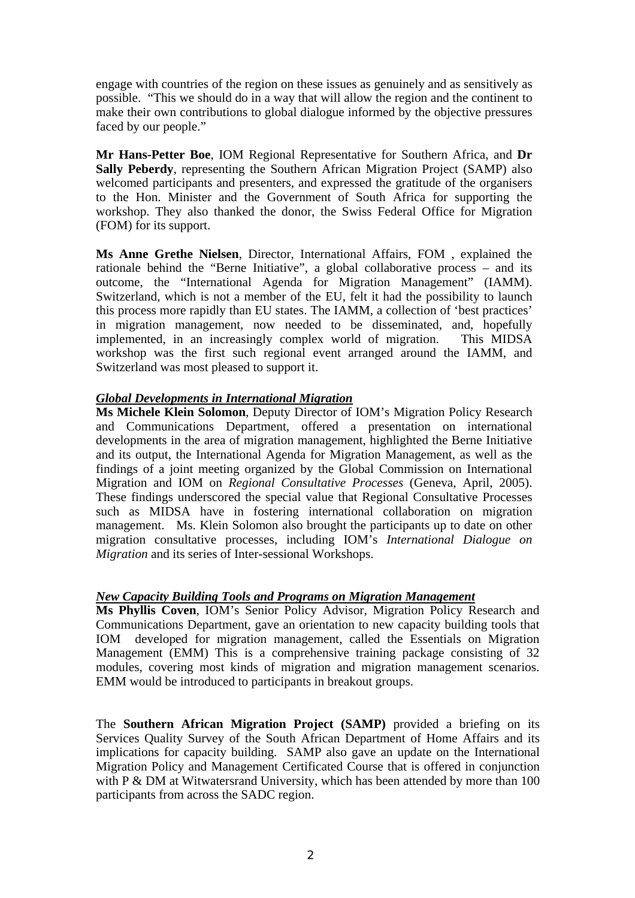engage with countries of the region on these issues as genuinely and as sensitively as possible. "This we should do in a way that will allow the region and the continent to make their own contributions to global dialogue informed by the objective pressures faced by our people."

**Mr Hans-Petter Boe**, IOM Regional Representative for Southern Africa, and **Dr Sally Peberdy**, representing the Southern African Migration Project (SAMP) also welcomed participants and presenters, and expressed the gratitude of the organisers to the Hon. Minister and the Government of South Africa for supporting the workshop. They also thanked the donor, the Swiss Federal Office for Migration (FOM) for its support.

**Ms Anne Grethe Nielsen**, Director, International Affairs, FOM , explained the rationale behind the "Berne Initiative", a global collaborative process – and its outcome, the "International Agenda for Migration Management" (IAMM). Switzerland, which is not a member of the EU, felt it had the possibility to launch this process more rapidly than EU states. The IAMM, a collection of 'best practices' in migration management, now needed to be disseminated, and, hopefully implemented, in an increasingly complex world of migration. This MIDSA workshop was the first such regional event arranged around the IAMM, and Switzerland was most pleased to support it.

### *Global Developments in International Migration*

**Ms Michele Klein Solomon**, Deputy Director of IOM's Migration Policy Research and Communications Department, offered a presentation on international developments in the area of migration management, highlighted the Berne Initiative and its output, the International Agenda for Migration Management, as well as the findings of a joint meeting organized by the Global Commission on International Migration and IOM on *Regional Consultative Processes* (Geneva, April, 2005). These findings underscored the special value that Regional Consultative Processes such as MIDSA have in fostering international collaboration on migration management. Ms. Klein Solomon also brought the participants up to date on other migration consultative processes, including IOM's *International Dialogue on Migration* and its series of Inter-sessional Workshops.

#### *New Capacity Building Tools and Programs on Migration Management*

**Ms Phyllis Coven**, IOM's Senior Policy Advisor, Migration Policy Research and Communications Department, gave an orientation to new capacity building tools that IOM developed for migration management, called the Essentials on Migration Management (EMM) This is a comprehensive training package consisting of 32 modules, covering most kinds of migration and migration management scenarios. EMM would be introduced to participants in breakout groups.

The **Southern African Migration Project (SAMP)** provided a briefing on its Services Quality Survey of the South African Department of Home Affairs and its implications for capacity building. SAMP also gave an update on the International Migration Policy and Management Certificated Course that is offered in conjunction with P & DM at Witwatersrand University, which has been attended by more than 100 participants from across the SADC region.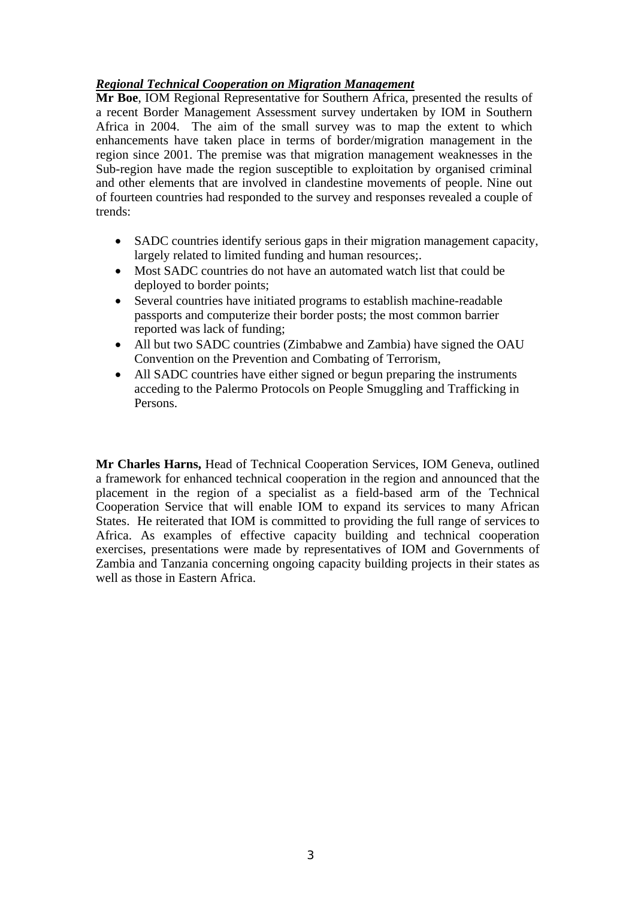## *Regional Technical Cooperation on Migration Management*

**Mr Boe**, IOM Regional Representative for Southern Africa, presented the results of a recent Border Management Assessment survey undertaken by IOM in Southern Africa in 2004. The aim of the small survey was to map the extent to which enhancements have taken place in terms of border/migration management in the region since 2001. The premise was that migration management weaknesses in the Sub-region have made the region susceptible to exploitation by organised criminal and other elements that are involved in clandestine movements of people. Nine out of fourteen countries had responded to the survey and responses revealed a couple of trends:

- SADC countries identify serious gaps in their migration management capacity, largely related to limited funding and human resources;.
- Most SADC countries do not have an automated watch list that could be deployed to border points;
- Several countries have initiated programs to establish machine-readable passports and computerize their border posts; the most common barrier reported was lack of funding;
- All but two SADC countries (Zimbabwe and Zambia) have signed the OAU Convention on the Prevention and Combating of Terrorism,
- All SADC countries have either signed or begun preparing the instruments acceding to the Palermo Protocols on People Smuggling and Trafficking in Persons.

**Mr Charles Harns,** Head of Technical Cooperation Services, IOM Geneva, outlined a framework for enhanced technical cooperation in the region and announced that the placement in the region of a specialist as a field-based arm of the Technical Cooperation Service that will enable IOM to expand its services to many African States. He reiterated that IOM is committed to providing the full range of services to Africa. As examples of effective capacity building and technical cooperation exercises, presentations were made by representatives of IOM and Governments of Zambia and Tanzania concerning ongoing capacity building projects in their states as well as those in Eastern Africa.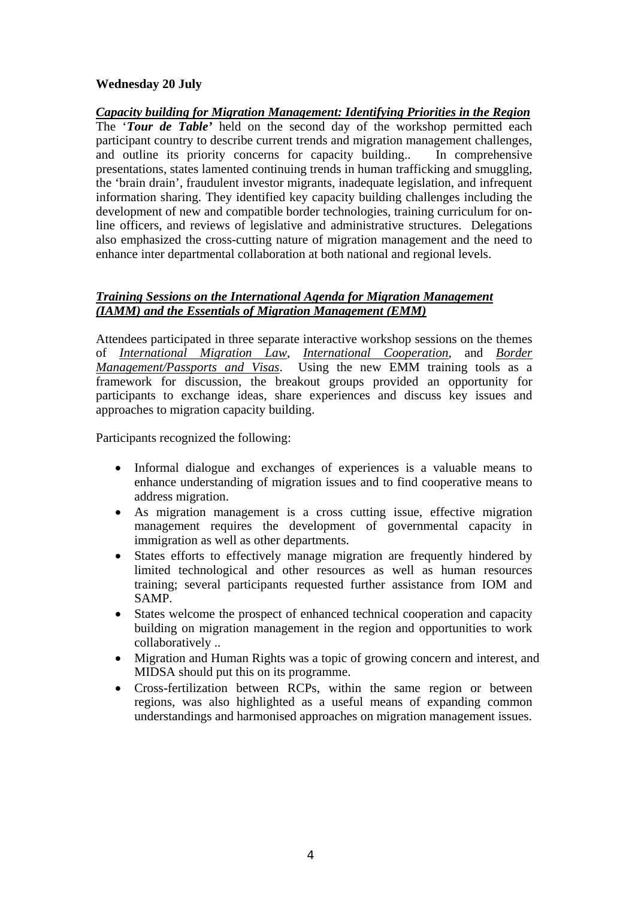### **Wednesday 20 July**

*Capacity building for Migration Management: Identifying Priorities in the Region* The '*Tour de Table'* held on the second day of the workshop permitted each participant country to describe current trends and migration management challenges, and outline its priority concerns for capacity building.. In comprehensive presentations, states lamented continuing trends in human trafficking and smuggling, the 'brain drain', fraudulent investor migrants, inadequate legislation, and infrequent information sharing. They identified key capacity building challenges including the development of new and compatible border technologies, training curriculum for online officers, and reviews of legislative and administrative structures. Delegations also emphasized the cross-cutting nature of migration management and the need to enhance inter departmental collaboration at both national and regional levels.

## *Training Sessions on the International Agenda for Migration Management (IAMM) and the Essentials of Migration Management (EMM)*

Attendees participated in three separate interactive workshop sessions on the themes of *International Migration Law*, *International Cooperation*, and *Border Management/Passports and Visas*. Using the new EMM training tools as a framework for discussion, the breakout groups provided an opportunity for participants to exchange ideas, share experiences and discuss key issues and approaches to migration capacity building.

Participants recognized the following:

- Informal dialogue and exchanges of experiences is a valuable means to enhance understanding of migration issues and to find cooperative means to address migration.
- As migration management is a cross cutting issue, effective migration management requires the development of governmental capacity in immigration as well as other departments.
- States efforts to effectively manage migration are frequently hindered by limited technological and other resources as well as human resources training; several participants requested further assistance from IOM and SAMP.
- States welcome the prospect of enhanced technical cooperation and capacity building on migration management in the region and opportunities to work collaboratively ..
- Migration and Human Rights was a topic of growing concern and interest, and MIDSA should put this on its programme.
- Cross-fertilization between RCPs, within the same region or between regions, was also highlighted as a useful means of expanding common understandings and harmonised approaches on migration management issues.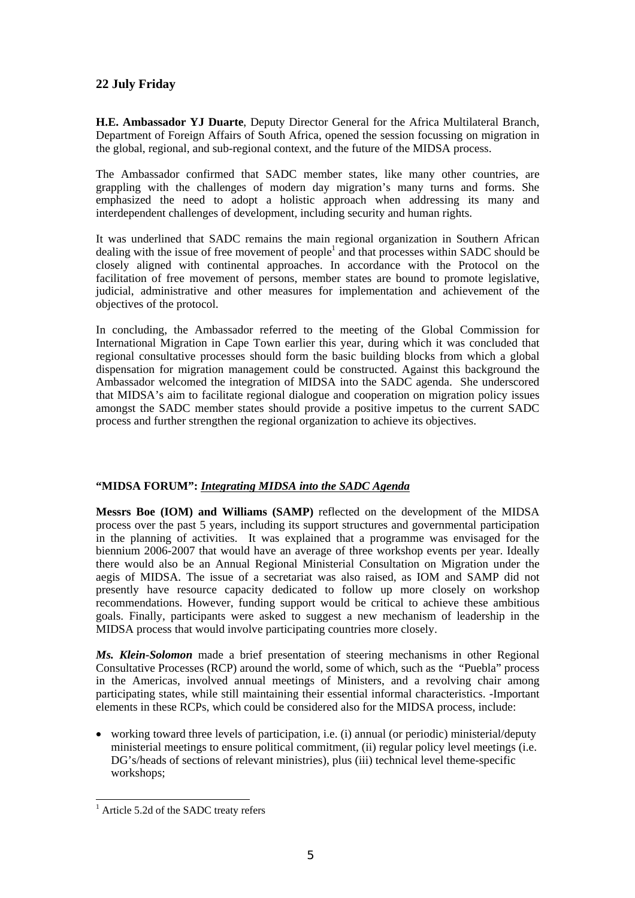### **22 July Friday**

**H.E. Ambassador YJ Duarte**, Deputy Director General for the Africa Multilateral Branch, Department of Foreign Affairs of South Africa, opened the session focussing on migration in the global, regional, and sub-regional context, and the future of the MIDSA process.

The Ambassador confirmed that SADC member states, like many other countries, are grappling with the challenges of modern day migration's many turns and forms. She emphasized the need to adopt a holistic approach when addressing its many and interdependent challenges of development, including security and human rights.

It was underlined that SADC remains the main regional organization in Southern African dealing with the issue of free movement of people<sup>[1](#page-4-0)</sup> and that processes within SADC should be closely aligned with continental approaches. In accordance with the Protocol on the facilitation of free movement of persons, member states are bound to promote legislative, judicial, administrative and other measures for implementation and achievement of the objectives of the protocol.

In concluding, the Ambassador referred to the meeting of the Global Commission for International Migration in Cape Town earlier this year, during which it was concluded that regional consultative processes should form the basic building blocks from which a global dispensation for migration management could be constructed. Against this background the Ambassador welcomed the integration of MIDSA into the SADC agenda. She underscored that MIDSA's aim to facilitate regional dialogue and cooperation on migration policy issues amongst the SADC member states should provide a positive impetus to the current SADC process and further strengthen the regional organization to achieve its objectives.

#### **"MIDSA FORUM":** *Integrating MIDSA into the SADC Agenda*

**Messrs Boe (IOM) and Williams (SAMP)** reflected on the development of the MIDSA process over the past 5 years, including its support structures and governmental participation in the planning of activities. It was explained that a programme was envisaged for the biennium 2006-2007 that would have an average of three workshop events per year. Ideally there would also be an Annual Regional Ministerial Consultation on Migration under the aegis of MIDSA. The issue of a secretariat was also raised, as IOM and SAMP did not presently have resource capacity dedicated to follow up more closely on workshop recommendations. However, funding support would be critical to achieve these ambitious goals. Finally, participants were asked to suggest a new mechanism of leadership in the MIDSA process that would involve participating countries more closely.

*Ms. Klein-Solomon* made a brief presentation of steering mechanisms in other Regional Consultative Processes (RCP) around the world, some of which, such as the "Puebla" process in the Americas, involved annual meetings of Ministers, and a revolving chair among participating states, while still maintaining their essential informal characteristics. -Important elements in these RCPs, which could be considered also for the MIDSA process, include:

• working toward three levels of participation, i.e. (i) annual (or periodic) ministerial/deputy ministerial meetings to ensure political commitment, (ii) regular policy level meetings (i.e. DG's/heads of sections of relevant ministries), plus (iii) technical level theme-specific workshops;

<span id="page-4-0"></span><sup>&</sup>lt;sup>1</sup> Article 5.2d of the SADC treaty refers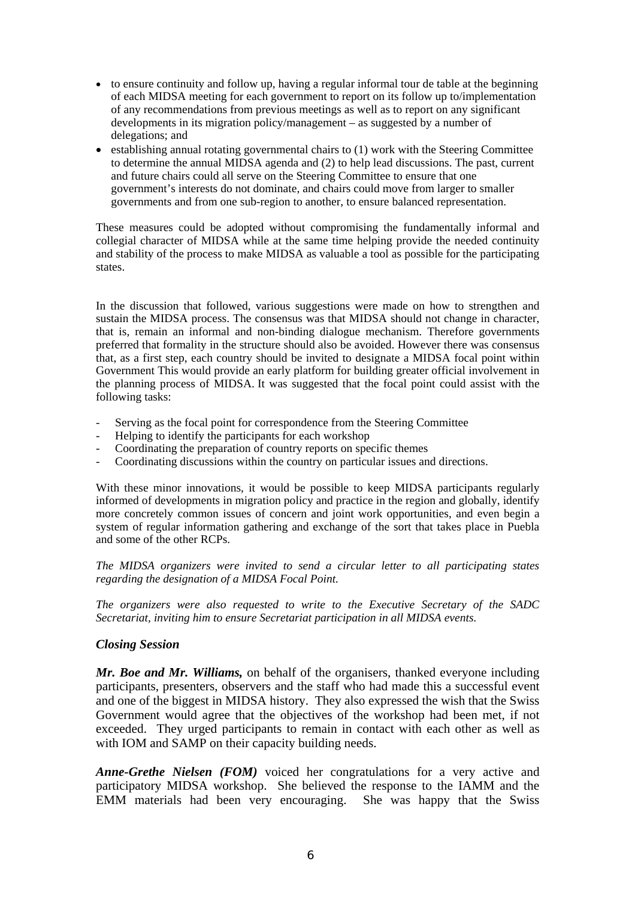- to ensure continuity and follow up, having a regular informal tour de table at the beginning of each MIDSA meeting for each government to report on its follow up to/implementation of any recommendations from previous meetings as well as to report on any significant developments in its migration policy/management – as suggested by a number of delegations; and
- establishing annual rotating governmental chairs to (1) work with the Steering Committee to determine the annual MIDSA agenda and (2) to help lead discussions. The past, current and future chairs could all serve on the Steering Committee to ensure that one government's interests do not dominate, and chairs could move from larger to smaller governments and from one sub-region to another, to ensure balanced representation.

These measures could be adopted without compromising the fundamentally informal and collegial character of MIDSA while at the same time helping provide the needed continuity and stability of the process to make MIDSA as valuable a tool as possible for the participating states.

In the discussion that followed, various suggestions were made on how to strengthen and sustain the MIDSA process. The consensus was that MIDSA should not change in character, that is, remain an informal and non-binding dialogue mechanism. Therefore governments preferred that formality in the structure should also be avoided. However there was consensus that, as a first step, each country should be invited to designate a MIDSA focal point within Government This would provide an early platform for building greater official involvement in the planning process of MIDSA. It was suggested that the focal point could assist with the following tasks:

- Serving as the focal point for correspondence from the Steering Committee<br>- Helping to identify the participants for each workshop
- Helping to identify the participants for each workshop
- Coordinating the preparation of country reports on specific themes
- Coordinating discussions within the country on particular issues and directions.

With these minor innovations, it would be possible to keep MIDSA participants regularly informed of developments in migration policy and practice in the region and globally, identify more concretely common issues of concern and joint work opportunities, and even begin a system of regular information gathering and exchange of the sort that takes place in Puebla and some of the other RCPs.

*The MIDSA organizers were invited to send a circular letter to all participating states regarding the designation of a MIDSA Focal Point.* 

*The organizers were also requested to write to the Executive Secretary of the SADC Secretariat, inviting him to ensure Secretariat participation in all MIDSA events.* 

### *Closing Session*

*Mr. Boe and Mr. Williams,* on behalf of the organisers, thanked everyone including participants, presenters, observers and the staff who had made this a successful event and one of the biggest in MIDSA history. They also expressed the wish that the Swiss Government would agree that the objectives of the workshop had been met, if not exceeded. They urged participants to remain in contact with each other as well as with IOM and SAMP on their capacity building needs.

*Anne-Grethe Nielsen (FOM)* voiced her congratulations for a very active and participatory MIDSA workshop. She believed the response to the IAMM and the EMM materials had been very encouraging. She was happy that the Swiss